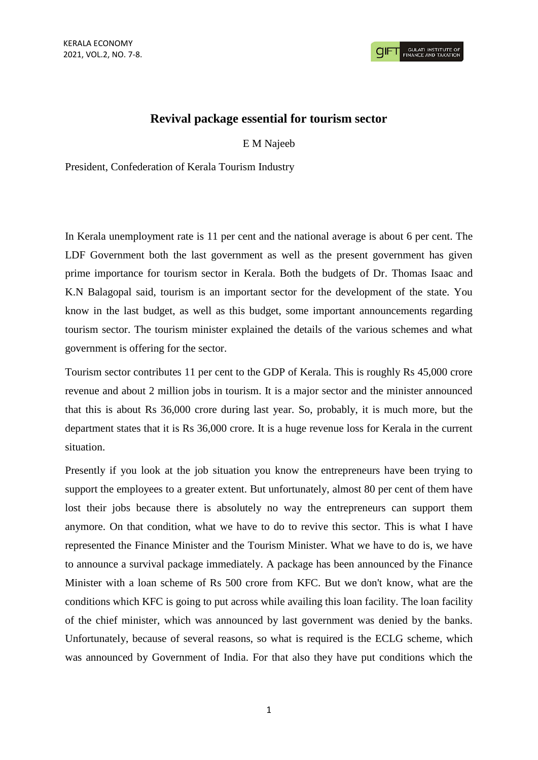## **Revival package essential for tourism sector**

E M Najeeb

President, Confederation of Kerala Tourism Industry

In Kerala unemployment rate is 11 per cent and the national average is about 6 per cent. The LDF Government both the last government as well as the present government has given prime importance for tourism sector in Kerala. Both the budgets of Dr. Thomas Isaac and K.N Balagopal said, tourism is an important sector for the development of the state. You know in the last budget, as well as this budget, some important announcements regarding tourism sector. The tourism minister explained the details of the various schemes and what government is offering for the sector.

Tourism sector contributes 11 per cent to the GDP of Kerala. This is roughly Rs 45,000 crore revenue and about 2 million jobs in tourism. It is a major sector and the minister announced that this is about Rs 36,000 crore during last year. So, probably, it is much more, but the department states that it is Rs 36,000 crore. It is a huge revenue loss for Kerala in the current situation.

Presently if you look at the job situation you know the entrepreneurs have been trying to support the employees to a greater extent. But unfortunately, almost 80 per cent of them have lost their jobs because there is absolutely no way the entrepreneurs can support them anymore. On that condition, what we have to do to revive this sector. This is what I have represented the Finance Minister and the Tourism Minister. What we have to do is, we have to announce a survival package immediately. A package has been announced by the Finance Minister with a loan scheme of Rs 500 crore from KFC. But we don't know, what are the conditions which KFC is going to put across while availing this loan facility. The loan facility of the chief minister, which was announced by last government was denied by the banks. Unfortunately, because of several reasons, so what is required is the ECLG scheme, which was announced by Government of India. For that also they have put conditions which the